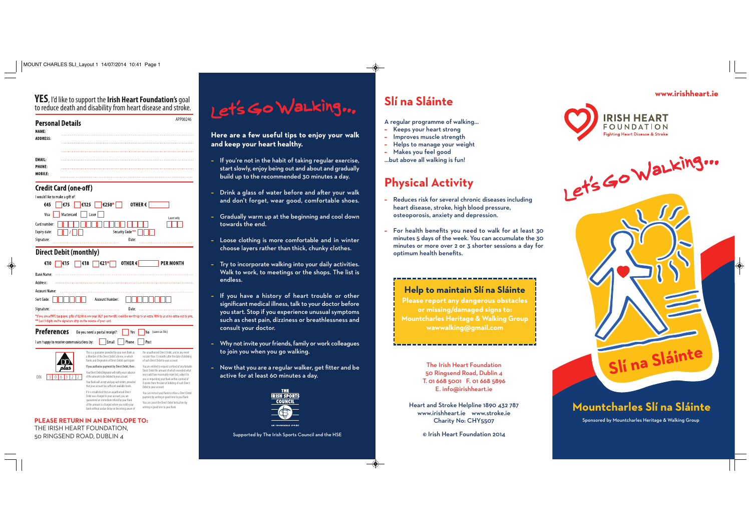

**www.irishheart.ie**



# **Help to maintain Slí na Sláinte**

**Please report any dangerous obstacles or missing/damaged signs to: Mountcharles Heritage & Walking Group wawwalking@gmail.com**

# **Slí na Sláinte**

 $\overline{\bullet}$ 

 $\rightarrow$ 

- A regular programme of walking…
- **–** Keeps your heart strong
- **–** Improves muscle strength
- **–**Helps to manage your weight
- **–**Makes you feel good
- …but above all walking is fun!

# **Physical Activity**

- Reduces risk for several chronic diseases including heart disease, stroke, high blood pressure, osteoporosis, anxiety and depression.
- **–** For health benefits you need to walk for at least 30 minutes 5 days of the week. You can accumulate the 30 minutes or more over 2 or 3 shorter sessions a day for optimum health benefits.

**Here are a few useful tips to enjoy your walk and keep your heart healthy.** 

of the amount so charged where you notify your bank without undue delay on becoming aware of writing in good time to your Bank.

- **–** If you're not in the habit of taking regular exercise, start slowly, enjoy being out and about and gradually build up to the recommended 30 minutes a day.
- **–** Drink a glass of water before and after your walk and don't forget, wear good, comfortable shoes.
- **–** Gradually warm up at the beginning and cool down towards the end.
- **–** Loose clothing is more comfortable and in winter choose layers rather than thick, chunky clothes.
- **–** Try to incorporate walking into your daily activities. Walk to work, to meetings or the shops. The list is endless.
- **–** If you have a history of heart trouble or other significant medical illness, talk to your doctor before you start. Stop if you experience unusual symptoms such as chest pain, dizziness or breathlessness and consult your doctor.
- **–** Why not invite your friends, family or work colleagues to join you when you go walking.
- **–** Now that you are a regular walker, get fitter and be active for at least 60 minutes a day.



#### **PLEASE RETURN IN AN ENVELOPE TO:** THE IRISH HEART FOUNDATION, 50 RINGSEND ROAD, DUBLIN 4 Supported by The Irish Sports Council and the HSE



The Irish Heart Foundation 50 Ringsend Road, Dublin 4 T. 01 668 5001 F. 01 668 5896 E. info@irishheart.ie

Heart and Stroke Helpline 1890 432 787 www.irishheart.ie www.stroke.ie Charity No: CHY5507

© Irish Heart Foundation 2014



| €10<br>€15                                                                                                                                                                                                       | €21*<br>€18                                                                                                                                              | OTHER€ | <b>PER MONTH</b>                                                                                                                               |
|------------------------------------------------------------------------------------------------------------------------------------------------------------------------------------------------------------------|----------------------------------------------------------------------------------------------------------------------------------------------------------|--------|------------------------------------------------------------------------------------------------------------------------------------------------|
| <b>Bank Name:</b>                                                                                                                                                                                                |                                                                                                                                                          |        |                                                                                                                                                |
| Address:                                                                                                                                                                                                         |                                                                                                                                                          |        |                                                                                                                                                |
| Account Name:                                                                                                                                                                                                    |                                                                                                                                                          |        |                                                                                                                                                |
| Sort Code:                                                                                                                                                                                                       | Account Number:                                                                                                                                          |        |                                                                                                                                                |
| Signature:                                                                                                                                                                                                       |                                                                                                                                                          | Date:  |                                                                                                                                                |
| *If you are a PAYE tax payer, gifts of €250 in one year (€21 per month) could be worth up to an extra 70% to us at no extra cost to you.<br>** Last 3 digits on the signature strip on the reverse of your card. |                                                                                                                                                          |        |                                                                                                                                                |
| <b>Preferences</b>                                                                                                                                                                                               | Do you need a postal receipt?:                                                                                                                           | Yes    | No<br>(saves us 54c)                                                                                                                           |
| I am happy to receive communications by:                                                                                                                                                                         | Email                                                                                                                                                    | Phone  | Post                                                                                                                                           |
|                                                                                                                                                                                                                  | This is a quarantee provided by your own Bank as<br>a Member of the Direct Debit Scheme, in which<br>Banks and Originators of Direct Debits participate. |        | the unauthorised Direct Debit, and in any event<br>no later than 13 months after the date of debiting<br>of such Direct Debit to your account. |

If it is established that an unauthorised Direct Debit was charged to your account, you are guaranteed an immediate refund by your Bank You are entitled to request a refund of any Variable Direct Debit the amount of which exceeded what you could have reasonably expected, subject to you so requesting your Bank within a period of 8 weeks from the date of debiting of such Direct Debit to your account. You can instruct your Bank to refuse a Direct Debit payment by writing in good time to your Bank. You can cancel the Direct Debit Instruction by

### **YES**, I'd like to support the **Irish Heart Foundation's** goal to reduce death and disability from heart disease and stroke.

| <b>Personal Details</b><br>NAME: |        | APP00246 |
|----------------------------------|--------|----------|
| <b>ADDRESS:</b>                  | .<br>. |          |
|                                  | .      |          |
| <b>EMAIL:</b>                    | .      |          |
| <b>PHONE:</b><br><b>MOBILE:</b>  |        |          |

#### **Credit Card (one-off)**

## **Direct Debit (monthly)**

 $\bigcirc$ 

| I would like to make a gift of: |                                               |
|---------------------------------|-----------------------------------------------|
| $\epsilon$ 75  <br>€45          | $ \epsilon$ 250*<br>$\epsilon$ 125<br>OTHER € |
| Mastercard<br>Visa              | Laser  <br>Laser only                         |
| Card number:                    |                                               |
| Expiry date:                    | Security Code**                               |
| Signature:                      | Date:                                         |
|                                 |                                               |

Sponsored by Mountcharles Heritage & Walking Group